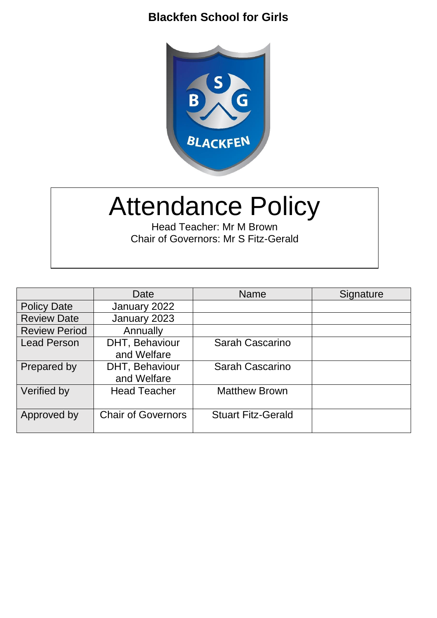### **Blackfen School for Girls**



# Attendance Policy

Head Teacher: Mr M Brown Chair of Governors: Mr S Fitz-Gerald

|                      | Date                          | <b>Name</b>               | Signature |
|----------------------|-------------------------------|---------------------------|-----------|
| <b>Policy Date</b>   | January 2022                  |                           |           |
| <b>Review Date</b>   | January 2023                  |                           |           |
| <b>Review Period</b> | Annually                      |                           |           |
| <b>Lead Person</b>   | DHT, Behaviour<br>and Welfare | Sarah Cascarino           |           |
| Prepared by          | DHT, Behaviour<br>and Welfare | Sarah Cascarino           |           |
| Verified by          | <b>Head Teacher</b>           | <b>Matthew Brown</b>      |           |
| Approved by          | <b>Chair of Governors</b>     | <b>Stuart Fitz-Gerald</b> |           |